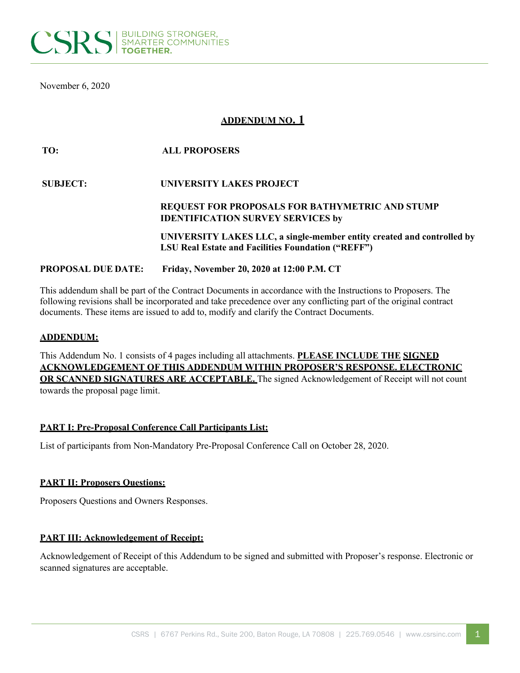

November 6, 2020

# **ADDENDUM NO. 1**

| TO:                       | <b>ALL PROPOSERS</b>                                                   |
|---------------------------|------------------------------------------------------------------------|
| <b>SUBJECT:</b>           | UNIVERSITY LAKES PROJECT                                               |
|                           | <b>REQUEST FOR PROPOSALS FOR BATHYMETRIC AND STUMP</b>                 |
|                           | <b>IDENTIFICATION SURVEY SERVICES by</b>                               |
|                           | UNIVERSITY LAKES LLC, a single-member entity created and controlled by |
|                           | <b>LSU Real Estate and Facilities Foundation ("REFF")</b>              |
| <b>PROPOSAL DUE DATE:</b> | Friday, November 20, 2020 at 12:00 P.M. CT                             |

This addendum shall be part of the Contract Documents in accordance with the Instructions to Proposers. The following revisions shall be incorporated and take precedence over any conflicting part of the original contract documents. These items are issued to add to, modify and clarify the Contract Documents.

### **ADDENDUM:**

This Addendum No. 1 consists of 4 pages including all attachments. **PLEASE INCLUDE THE SIGNED ACKNOWLEDGEMENT OF THIS ADDENDUM WITHIN PROPOSER'S RESPONSE. ELECTRONIC OR SCANNED SIGNATURES ARE ACCEPTABLE.** The signed Acknowledgement of Receipt will not count towards the proposal page limit.

### **PART I: Pre-Proposal Conference Call Participants List:**

List of participants from Non-Mandatory Pre-Proposal Conference Call on October 28, 2020.

### **PART II: Proposers Questions:**

Proposers Questions and Owners Responses.

### **PART III: Acknowledgement of Receipt:**

Acknowledgement of Receipt of this Addendum to be signed and submitted with Proposer's response. Electronic or scanned signatures are acceptable.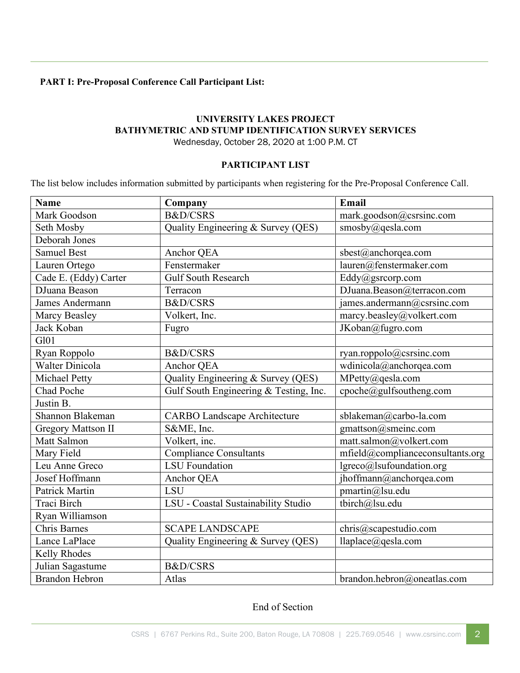# **PART I: Pre-Proposal Conference Call Participant List:**

## **UNIVERSITY LAKES PROJECT BATHYMETRIC AND STUMP IDENTIFICATION SURVEY SERVICES** Wednesday, October 28, 2020 at 1:00 P.M. CT

### **PARTICIPANT LIST**

The list below includes information submitted by participants when registering for the Pre-Proposal Conference Call.

| <b>Name</b>               | Company                                | Email                            |  |
|---------------------------|----------------------------------------|----------------------------------|--|
| Mark Goodson              | <b>B&amp;D/CSRS</b>                    | mark.goodson@csrsinc.com         |  |
| Seth Mosby                | Quality Engineering & Survey (QES)     | smosby@qesla.com                 |  |
| Deborah Jones             |                                        |                                  |  |
| <b>Samuel Best</b>        | Anchor QEA                             | sbest@anchorqea.com              |  |
| Lauren Ortego             | Fenstermaker                           | lauren@fenstermaker.com          |  |
| Cade E. (Eddy) Carter     | Gulf South Research                    | Eddy@gsrcorp.com                 |  |
| DJuana Beason             | Terracon                               | DJuana.Beason@terracon.com       |  |
| James Andermann           | <b>B&amp;D/CSRS</b>                    | james.andermann@csrsinc.com      |  |
| <b>Marcy Beasley</b>      | Volkert, Inc.                          | marcy.beasley@volkert.com        |  |
| Jack Koban                | Fugro                                  | JKoban@fugro.com                 |  |
| G101                      |                                        |                                  |  |
| Ryan Roppolo              | <b>B&amp;D/CSRS</b>                    | ryan.roppolo@csrsinc.com         |  |
| Walter Dinicola           | Anchor QEA                             | wdinicola@anchorqea.com          |  |
| Michael Petty             | Quality Engineering & Survey (QES)     | MPetty@qesla.com                 |  |
| Chad Poche                | Gulf South Engineering & Testing, Inc. | cpoche@gulfsoutheng.com          |  |
| Justin B.                 |                                        |                                  |  |
| Shannon Blakeman          | <b>CARBO Landscape Architecture</b>    | sblakeman@carbo-la.com           |  |
| <b>Gregory Mattson II</b> | S&ME, Inc.                             | gmattson@smeinc.com              |  |
| Matt Salmon               | Volkert, inc.                          | matt.salmon@volkert.com          |  |
| Mary Field                | <b>Compliance Consultants</b>          | mfield@complianceconsultants.org |  |
| Leu Anne Greco            | <b>LSU</b> Foundation                  | lgreco@lsufoundation.org         |  |
| Josef Hoffmann            | Anchor QEA                             | jhoffmann@anchorqea.com          |  |
| <b>Patrick Martin</b>     | <b>LSU</b>                             | pmartin@lsu.edu                  |  |
| Traci Birch               | LSU - Coastal Sustainability Studio    | tbirch@lsu.edu                   |  |
| Ryan Williamson           |                                        |                                  |  |
| <b>Chris Barnes</b>       | <b>SCAPE LANDSCAPE</b>                 | chris@scapestudio.com            |  |
| Lance LaPlace             | Quality Engineering & Survey (QES)     | llaplace@qesla.com               |  |
| Kelly Rhodes              |                                        |                                  |  |
| Julian Sagastume          | <b>B&amp;D/CSRS</b>                    |                                  |  |
| <b>Brandon Hebron</b>     | Atlas                                  | brandon.hebron@oneatlas.com      |  |

# End of Section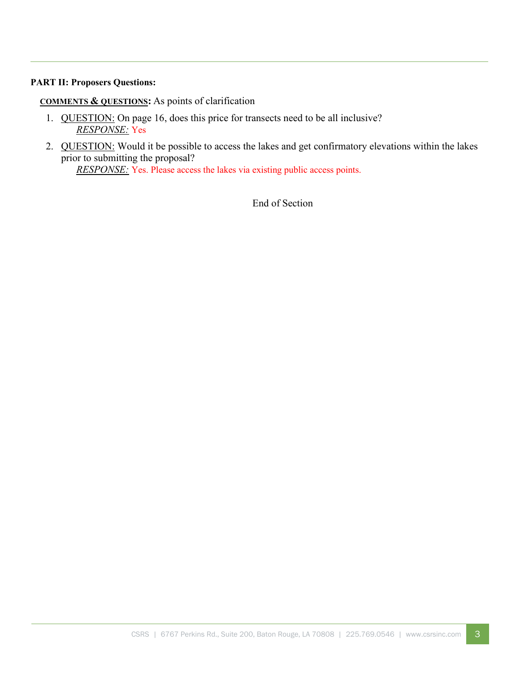## **PART II: Proposers Questions:**

**COMMENTS & QUESTIONS:** As points of clarification

- 1. QUESTION: On page 16, does this price for transects need to be all inclusive? *RESPONSE:* Yes
- 2. QUESTION: Would it be possible to access the lakes and get confirmatory elevations within the lakes prior to submitting the proposal?

*RESPONSE:* Yes. Please access the lakes via existing public access points.

End of Section